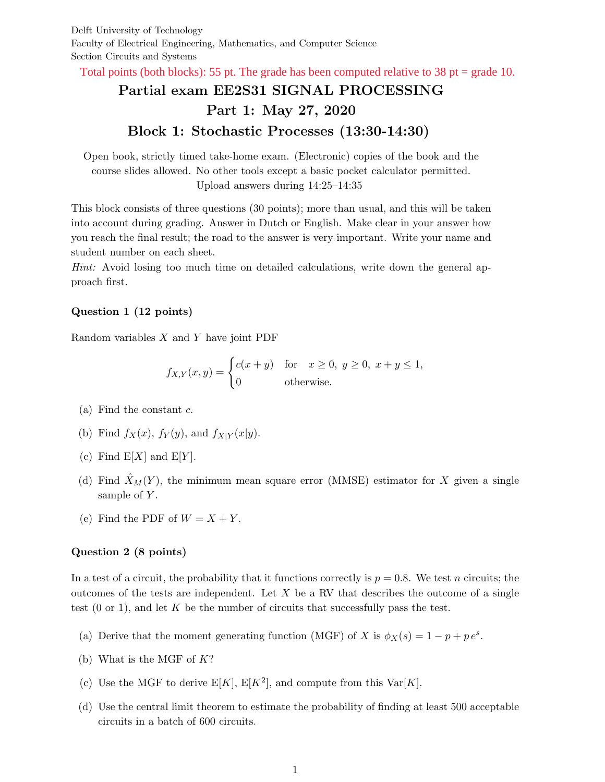Delft University of Technology Faculty of Electrical Engineering, Mathematics, and Computer Science Section Circuits and Systems

Total points (both blocks): 55 pt. The grade has been computed relative to 38 pt = grade 10.

# Partial exam EE2S31 SIGNAL PROCESSING Part 1: May 27, 2020 Block 1: Stochastic Processes (13:30-14:30)

Open book, strictly timed take-home exam. (Electronic) copies of the book and the course slides allowed. No other tools except a basic pocket calculator permitted. Upload answers during 14:25–14:35

This block consists of three questions (30 points); more than usual, and this will be taken into account during grading. Answer in Dutch or English. Make clear in your answer how you reach the final result; the road to the answer is very important. Write your name and student number on each sheet.

Hint: Avoid losing too much time on detailed calculations, write down the general approach first.

### Question 1 (12 points)

Random variables  $X$  and  $Y$  have joint PDF

$$
f_{X,Y}(x,y) = \begin{cases} c(x+y) & \text{for } x \ge 0, y \ge 0, x+y \le 1, \\ 0 & \text{otherwise.} \end{cases}
$$

- (a) Find the constant  $c$ .
- (b) Find  $f_X(x)$ ,  $f_Y(y)$ , and  $f_{X|Y}(x|y)$ .
- (c) Find  $E[X]$  and  $E[Y]$ .
- (d) Find  $\hat{X}_M(Y)$ , the minimum mean square error (MMSE) estimator for X given a single sample of  $Y$ .
- (e) Find the PDF of  $W = X + Y$ .

### Question 2 (8 points)

In a test of a circuit, the probability that it functions correctly is  $p = 0.8$ . We test n circuits; the outcomes of the tests are independent. Let  $X$  be a RV that describes the outcome of a single test  $(0 \text{ or } 1)$ , and let K be the number of circuits that successfully pass the test.

- (a) Derive that the moment generating function (MGF) of X is  $\phi_X(s) = 1 p + p e^s$ .
- (b) What is the MGF of  $K$ ?
- (c) Use the MGF to derive  $E[K]$ ,  $E[K^2]$ , and compute from this  $Var[K]$ .
- (d) Use the central limit theorem to estimate the probability of finding at least 500 acceptable circuits in a batch of 600 circuits.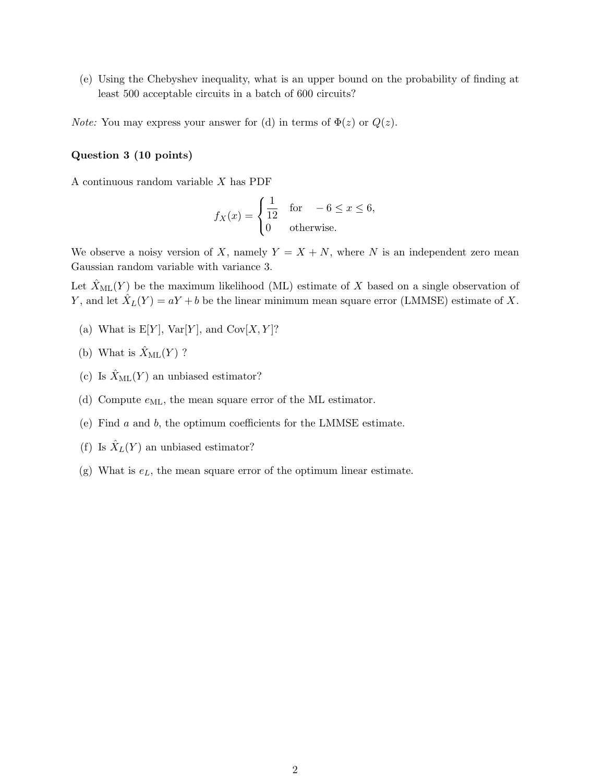(e) Using the Chebyshev inequality, what is an upper bound on the probability of finding at least 500 acceptable circuits in a batch of 600 circuits?

*Note:* You may express your answer for (d) in terms of  $\Phi(z)$  or  $Q(z)$ .

#### Question 3 (10 points)

A continuous random variable X has PDF

$$
f_X(x) = \begin{cases} \frac{1}{12} & \text{for } -6 \le x \le 6, \\ 0 & \text{otherwise.} \end{cases}
$$

We observe a noisy version of X, namely  $Y = X + N$ , where N is an independent zero mean Gaussian random variable with variance 3.

Let  $\hat{X}_{ML}(Y)$  be the maximum likelihood (ML) estimate of X based on a single observation of Y, and let  $\hat{X}_L(Y) = aY + b$  be the linear minimum mean square error (LMMSE) estimate of X.

- (a) What is  $E[Y]$ ,  $Var[Y]$ , and  $Cov[X, Y]$ ?
- (b) What is  $\hat{X}_{\text{ML}}(Y)$  ?
- (c) Is  $\hat{X}_{ML}(Y)$  an unbiased estimator?
- (d) Compute  $e_{ML}$ , the mean square error of the ML estimator.
- (e) Find a and b, the optimum coefficients for the LMMSE estimate.
- (f) Is  $\hat{X}_L(Y)$  an unbiased estimator?
- (g) What is  $e<sub>L</sub>$ , the mean square error of the optimum linear estimate.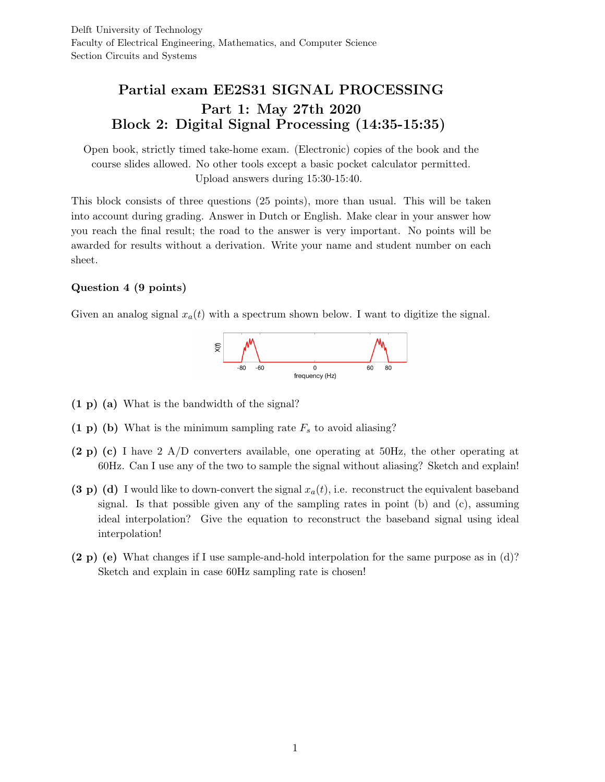## Partial exam EE2S31 SIGNAL PROCESSING Part 1: May 27th 2020 Block 2: Digital Signal Processing (14:35-15:35)

Open book, strictly timed take-home exam. (Electronic) copies of the book and the course slides allowed. No other tools except a basic pocket calculator permitted. Upload answers during 15:30-15:40.

This block consists of three questions (25 points), more than usual. This will be taken into account during grading. Answer in Dutch or English. Make clear in your answer how you reach the final result; the road to the answer is very important. No points will be awarded for results without a derivation. Write your name and student number on each sheet.

### Question 4 (9 points)

Given an analog signal  $x_a(t)$  with a spectrum shown below. I want to digitize the signal.



- (1 p) (a) What is the bandwidth of the signal?
- $(1 \text{ p})$  (b) What is the minimum sampling rate  $F_s$  to avoid aliasing?
- (2 p) (c) I have 2 A/D converters available, one operating at 50Hz, the other operating at 60Hz. Can I use any of the two to sample the signal without aliasing? Sketch and explain!
- (3 p) (d) I would like to down-convert the signal  $x_a(t)$ , i.e. reconstruct the equivalent baseband signal. Is that possible given any of the sampling rates in point (b) and (c), assuming ideal interpolation? Give the equation to reconstruct the baseband signal using ideal interpolation!
- (2 p) (e) What changes if I use sample-and-hold interpolation for the same purpose as in (d)? Sketch and explain in case 60Hz sampling rate is chosen!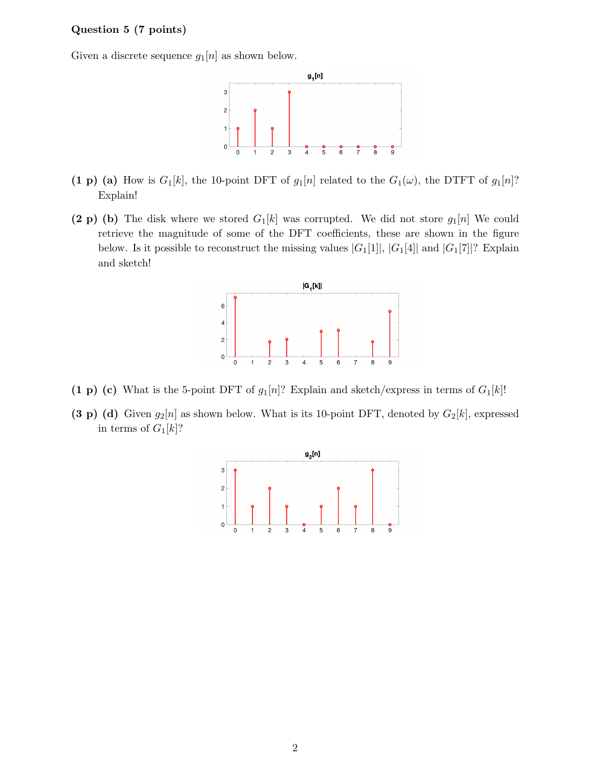### Question 5 (7 points)

Given a discrete sequence  $g_1[n]$  as shown below.



- (1 p) (a) How is  $G_1[k]$ , the 10-point DFT of  $g_1[n]$  related to the  $G_1(\omega)$ , the DTFT of  $g_1[n]$ ? Explain!
- (2 p) (b) The disk where we stored  $G_1[k]$  was corrupted. We did not store  $g_1[n]$  We could retrieve the magnitude of some of the DFT coefficients, these are shown in the figure below. Is it possible to reconstruct the missing values  $|G_1[1]|, |G_1[4]|$  and  $|G_1[7]|$ ? Explain and sketch!



- (1 p) (c) What is the 5-point DFT of  $g_1[n]$ ? Explain and sketch/express in terms of  $G_1[k]$ !
- (3 p) (d) Given  $g_2[n]$  as shown below. What is its 10-point DFT, denoted by  $G_2[k]$ , expressed in terms of  $G_1[k]$ ?